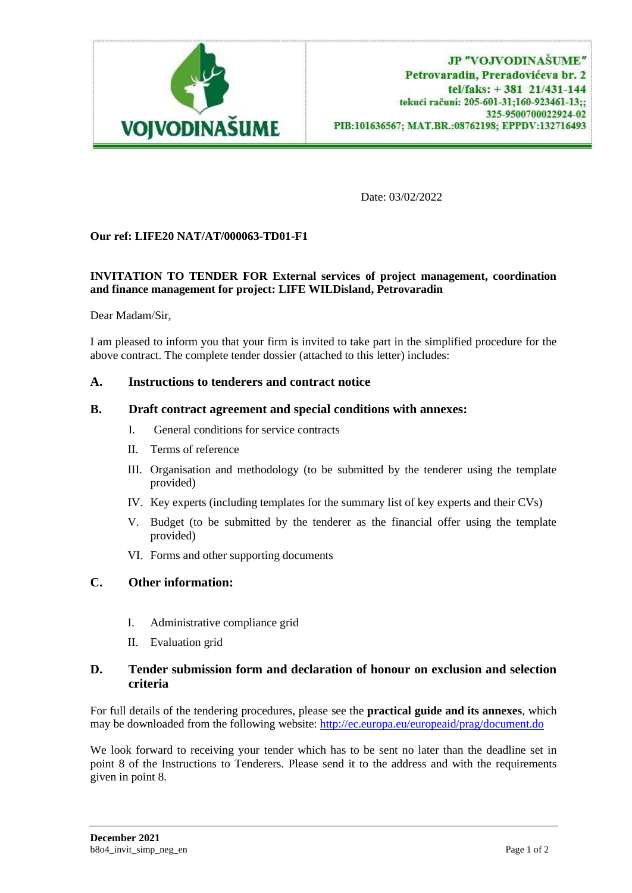

Date: 03/02/2022

# **Our ref: LIFE20 NAT/AT/000063-TD01-F1**

### **INVITATION TO TENDER FOR External services of project management, coordination and finance management for project: LIFE WILDisland, Petrovaradin**

Dear Madam/Sir,

I am pleased to inform you that your firm is invited to take part in the simplified procedure for the above contract. The complete tender dossier (attached to this letter) includes:

# **A. Instructions to tenderers and contract notice**

#### **B. Draft contract agreement and special conditions with annexes:**

- I. General conditions for service contracts
- II. Terms of reference
- III. Organisation and methodology (to be submitted by the tenderer using the template provided)
- IV. Key experts (including templates for the summary list of key experts and their CVs)
- V. Budget (to be submitted by the tenderer as the financial offer using the template provided)
- VI. Forms and other supporting documents

# **C. Other information:**

- I. Administrative compliance grid
- II. Evaluation grid

# **D. Tender submission form and declaration of honour on exclusion and selection criteria**

For full details of the tendering procedures, please see the **practical guide and its annexes**, which may be downloaded from the following website[: http://ec.europa.eu/europeaid/prag/document.do](http://ec.europa.eu/europeaid/prag/document.do)

We look forward to receiving your tender which has to be sent no later than the deadline set in point 8 of the Instructions to Tenderers. Please send it to the address and with the requirements given in point 8.